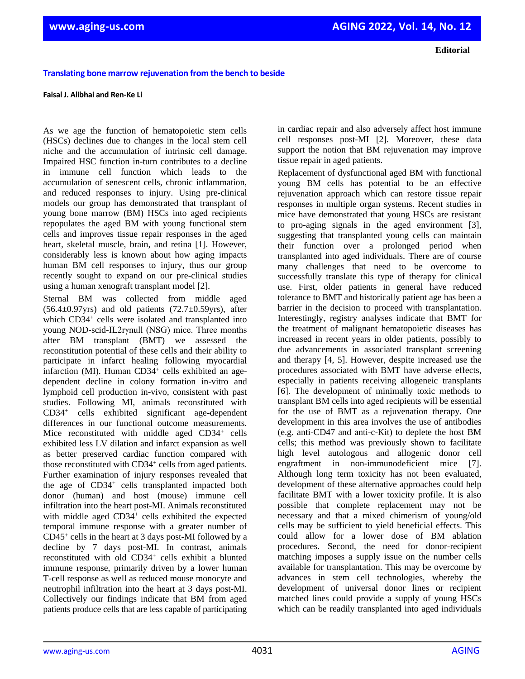**Editorial**

## **Translating bone marrow rejuvenation from the bench to beside**

## **Faisal J. Alibhai and Ren-Ke Li**

As we age the function of hematopoietic stem cells (HSCs) declines due to changes in the local stem cell niche and the accumulation of intrinsic cell damage. Impaired HSC function in-turn contributes to a decline in immune cell function which leads to the accumulation of senescent cells, chronic inflammation, and reduced responses to injury. Using pre-clinical models our group has demonstrated that transplant of young bone marrow (BM) HSCs into aged recipients repopulates the aged BM with young functional stem cells and improves tissue repair responses in the aged heart, skeletal muscle, brain, and retina [1]. However, considerably less is known about how aging impacts human BM cell responses to injury, thus our group recently sought to expand on our pre-clinical studies using a human xenograft transplant model [2].

Sternal BM was collected from middle aged  $(56.4\pm0.97)$ yrs) and old patients  $(72.7\pm0.59)$ yrs), after which CD34<sup>+</sup> cells were isolated and transplanted into young NOD-scid-IL2rγnull (NSG) mice. Three months after BM transplant (BMT) we assessed the reconstitution potential of these cells and their ability to participate in infarct healing following myocardial infarction (MI). Human CD34<sup>+</sup> cells exhibited an agedependent decline in colony formation in-vitro and lymphoid cell production in-vivo, consistent with past studies. Following MI, animals reconstituted with CD34<sup>+</sup> cells exhibited significant age-dependent differences in our functional outcome measurements. Mice reconstituted with middle aged CD34<sup>+</sup> cells exhibited less LV dilation and infarct expansion as well as better preserved cardiac function compared with those reconstituted with CD34<sup>+</sup> cells from aged patients. Further examination of injury responses revealed that the age of CD34<sup>+</sup> cells transplanted impacted both donor (human) and host (mouse) immune cell infiltration into the heart post-MI. Animals reconstituted with middle aged CD34<sup>+</sup> cells exhibited the expected temporal immune response with a greater number of CD45<sup>+</sup> cells in the heart at 3 days post-MI followed by a decline by 7 days post-MI. In contrast, animals reconstituted with old CD34<sup>+</sup> cells exhibit a blunted immune response, primarily driven by a lower human T-cell response as well as reduced mouse monocyte and neutrophil infiltration into the heart at 3 days post-MI. Collectively our findings indicate that BM from aged patients produce cells that are less capable of participating

in cardiac repair and also adversely affect host immune cell responses post-MI [2]. Moreover, these data support the notion that BM rejuvenation may improve tissue repair in aged patients.

Replacement of dysfunctional aged BM with functional young BM cells has potential to be an effective rejuvenation approach which can restore tissue repair responses in multiple organ systems. Recent studies in mice have demonstrated that young HSCs are resistant to pro-aging signals in the aged environment [3], suggesting that transplanted young cells can maintain their function over a prolonged period when transplanted into aged individuals. There are of course many challenges that need to be overcome to successfully translate this type of therapy for clinical use. First, older patients in general have reduced tolerance to BMT and historically patient age has been a barrier in the decision to proceed with transplantation. Interestingly, registry analyses indicate that BMT for the treatment of malignant hematopoietic diseases has increased in recent years in older patients, possibly to due advancements in associated transplant screening and therapy [4, 5]. However, despite increased use the procedures associated with BMT have adverse effects, especially in patients receiving allogeneic transplants [6]. The development of minimally toxic methods to transplant BM cells into aged recipients will be essential for the use of BMT as a rejuvenation therapy. One development in this area involves the use of antibodies (e.g. anti-CD47 and anti-c-Kit) to deplete the host BM cells; this method was previously shown to facilitate high level autologous and allogenic donor cell engraftment in non-immunodeficient mice [7]. Although long term toxicity has not been evaluated, development of these alternative approaches could help facilitate BMT with a lower toxicity profile. It is also possible that complete replacement may not be necessary and that a mixed chimerism of young/old cells may be sufficient to yield beneficial effects. This could allow for a lower dose of BM ablation procedures. Second, the need for donor-recipient matching imposes a supply issue on the number cells available for transplantation. This may be overcome by advances in stem cell technologies, whereby the development of universal donor lines or recipient matched lines could provide a supply of young HSCs which can be readily transplanted into aged individuals